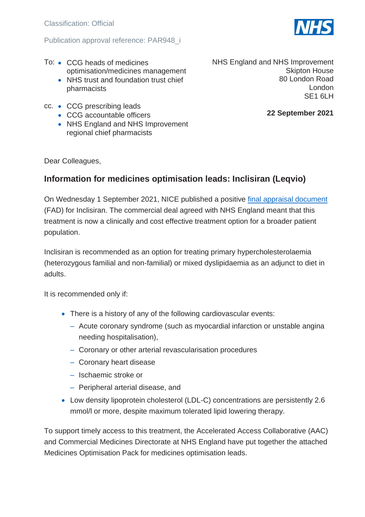#### Publication approval reference: PAR948\_i



Skipton House 80 London Road

> London SE1 6LH

- To: CCG heads of medicines optimisation/medicines management
	- NHS trust and foundation trust chief pharmacists
- cc. CCG prescribing leads
	- CCG accountable officers
	- NHS England and NHS Improvement regional chief pharmacists

**22 September 2021**

NHS England and NHS Improvement

Dear Colleagues,

# **Information for medicines optimisation leads: Inclisiran (Leqvio)**

On Wednesday 1 September 2021, NICE published a positive [final appraisal document](https://www.nice.org.uk/guidance/gid-ta10703/documents/final-appraisal-determination-document) (FAD) for Inclisiran. The commercial deal agreed with NHS England meant that this treatment is now a clinically and cost effective treatment option for a broader patient population.

Inclisiran is recommended as an option for treating primary hypercholesterolaemia (heterozygous familial and non-familial) or mixed dyslipidaemia as an adjunct to diet in adults.

It is recommended only if:

- There is a history of any of the following cardiovascular events:
	- Acute coronary syndrome (such as myocardial infarction or unstable angina needing hospitalisation),
	- ‒ Coronary or other arterial revascularisation procedures
	- Coronary heart disease
	- ‒ Ischaemic stroke or
	- ‒ Peripheral arterial disease, and
- Low density lipoprotein cholesterol (LDL-C) concentrations are persistently 2.6 mmol/l or more, despite maximum tolerated lipid lowering therapy.

To support timely access to this treatment, the Accelerated Access Collaborative (AAC) and Commercial Medicines Directorate at NHS England have put together the attached Medicines Optimisation Pack for medicines optimisation leads.